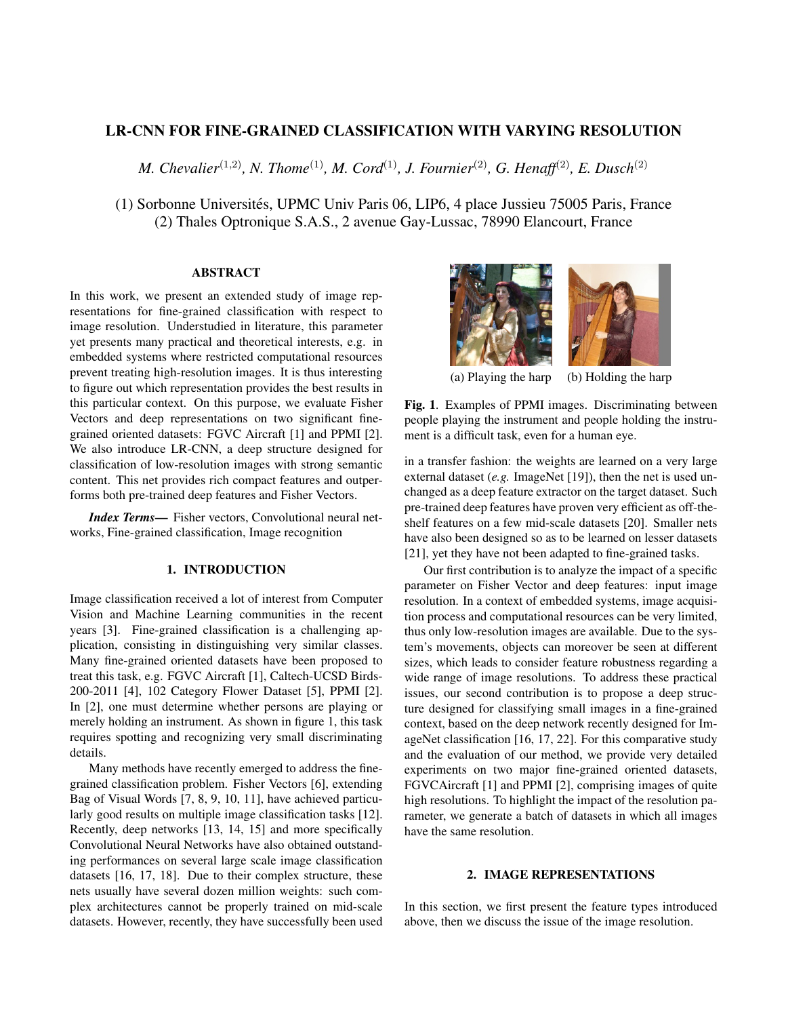# LR-CNN FOR FINE-GRAINED CLASSIFICATION WITH VARYING RESOLUTION

*M. Chevalier*(1,2)*, N. Thome*(1)*, M. Cord*(1)*, J. Fournier*(2)*, G. Henaff*(2)*, E. Dusch*(2)

(1) Sorbonne Universités, UPMC Univ Paris 06, LIP6, 4 place Jussieu 75005 Paris, France (2) Thales Optronique S.A.S., 2 avenue Gay-Lussac, 78990 Elancourt, France

#### ABSTRACT

In this work, we present an extended study of image representations for fine-grained classification with respect to image resolution. Understudied in literature, this parameter yet presents many practical and theoretical interests, e.g. in embedded systems where restricted computational resources prevent treating high-resolution images. It is thus interesting to figure out which representation provides the best results in this particular context. On this purpose, we evaluate Fisher Vectors and deep representations on two significant finegrained oriented datasets: FGVC Aircraft [1] and PPMI [2]. We also introduce LR-CNN, a deep structure designed for classification of low-resolution images with strong semantic content. This net provides rich compact features and outperforms both pre-trained deep features and Fisher Vectors.

*Index Terms*— Fisher vectors, Convolutional neural networks, Fine-grained classification, Image recognition

# 1. INTRODUCTION

Image classification received a lot of interest from Computer Vision and Machine Learning communities in the recent years [3]. Fine-grained classification is a challenging application, consisting in distinguishing very similar classes. Many fine-grained oriented datasets have been proposed to treat this task, e.g. FGVC Aircraft [1], Caltech-UCSD Birds-200-2011 [4], 102 Category Flower Dataset [5], PPMI [2]. In [2], one must determine whether persons are playing or merely holding an instrument. As shown in figure 1, this task requires spotting and recognizing very small discriminating details.

Many methods have recently emerged to address the finegrained classification problem. Fisher Vectors [6], extending Bag of Visual Words [7, 8, 9, 10, 11], have achieved particularly good results on multiple image classification tasks [12]. Recently, deep networks [13, 14, 15] and more specifically Convolutional Neural Networks have also obtained outstanding performances on several large scale image classification datasets [16, 17, 18]. Due to their complex structure, these nets usually have several dozen million weights: such complex architectures cannot be properly trained on mid-scale datasets. However, recently, they have successfully been used



(a) Playing the harp (b) Holding the harp

Fig. 1. Examples of PPMI images. Discriminating between people playing the instrument and people holding the instrument is a difficult task, even for a human eye.

in a transfer fashion: the weights are learned on a very large external dataset (*e.g.* ImageNet [19]), then the net is used unchanged as a deep feature extractor on the target dataset. Such pre-trained deep features have proven very efficient as off-theshelf features on a few mid-scale datasets [20]. Smaller nets have also been designed so as to be learned on lesser datasets [21], yet they have not been adapted to fine-grained tasks.

Our first contribution is to analyze the impact of a specific parameter on Fisher Vector and deep features: input image resolution. In a context of embedded systems, image acquisition process and computational resources can be very limited, thus only low-resolution images are available. Due to the system's movements, objects can moreover be seen at different sizes, which leads to consider feature robustness regarding a wide range of image resolutions. To address these practical issues, our second contribution is to propose a deep structure designed for classifying small images in a fine-grained context, based on the deep network recently designed for ImageNet classification [16, 17, 22]. For this comparative study and the evaluation of our method, we provide very detailed experiments on two major fine-grained oriented datasets, FGVCAircraft [1] and PPMI [2], comprising images of quite high resolutions. To highlight the impact of the resolution parameter, we generate a batch of datasets in which all images have the same resolution.

# 2. IMAGE REPRESENTATIONS

In this section, we first present the feature types introduced above, then we discuss the issue of the image resolution.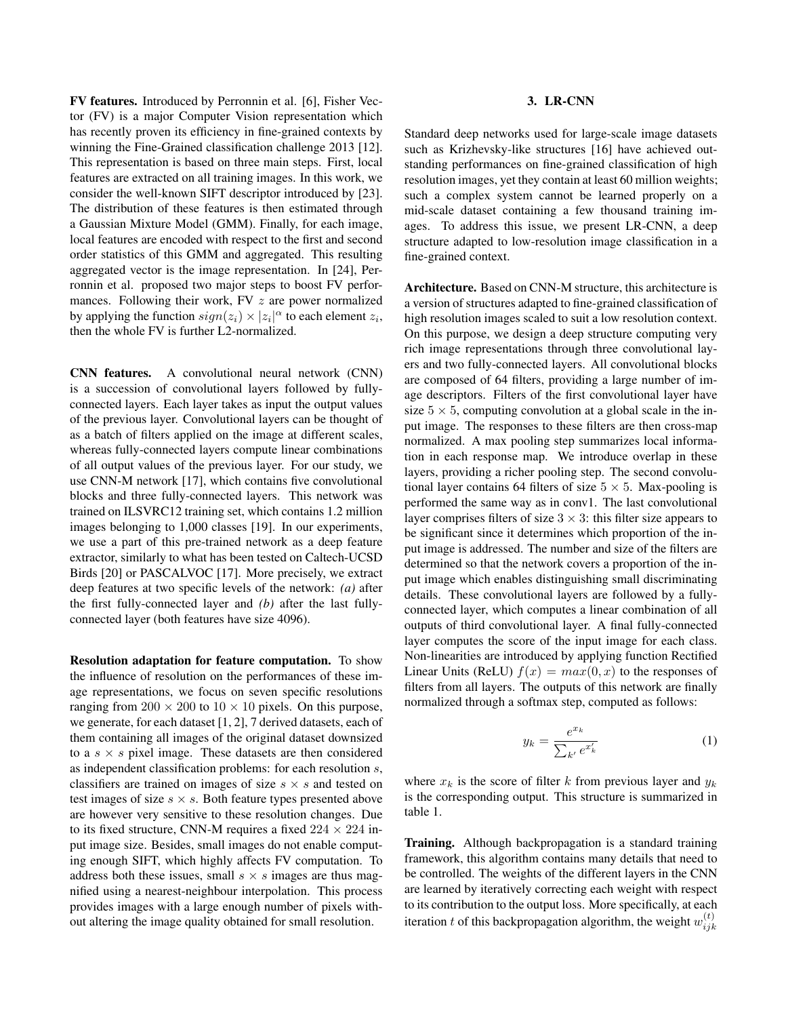FV features. Introduced by Perronnin et al. [6], Fisher Vector (FV) is a major Computer Vision representation which has recently proven its efficiency in fine-grained contexts by winning the Fine-Grained classification challenge 2013 [12]. This representation is based on three main steps. First, local features are extracted on all training images. In this work, we consider the well-known SIFT descriptor introduced by [23]. The distribution of these features is then estimated through a Gaussian Mixture Model (GMM). Finally, for each image, local features are encoded with respect to the first and second order statistics of this GMM and aggregated. This resulting aggregated vector is the image representation. In [24], Perronnin et al. proposed two major steps to boost FV performances. Following their work,  $FV z$  are power normalized by applying the function  $sign(z_i) \times |z_i|^\alpha$  to each element  $z_i$ , then the whole FV is further L2-normalized.

CNN features. A convolutional neural network (CNN) is a succession of convolutional layers followed by fullyconnected layers. Each layer takes as input the output values of the previous layer. Convolutional layers can be thought of as a batch of filters applied on the image at different scales, whereas fully-connected layers compute linear combinations of all output values of the previous layer. For our study, we use CNN-M network [17], which contains five convolutional blocks and three fully-connected layers. This network was trained on ILSVRC12 training set, which contains 1.2 million images belonging to 1,000 classes [19]. In our experiments, we use a part of this pre-trained network as a deep feature extractor, similarly to what has been tested on Caltech-UCSD Birds [20] or PASCALVOC [17]. More precisely, we extract deep features at two specific levels of the network: *(a)* after the first fully-connected layer and *(b)* after the last fullyconnected layer (both features have size 4096).

Resolution adaptation for feature computation. To show the influence of resolution on the performances of these image representations, we focus on seven specific resolutions ranging from  $200 \times 200$  to  $10 \times 10$  pixels. On this purpose, we generate, for each dataset [1, 2], 7 derived datasets, each of them containing all images of the original dataset downsized to a  $s \times s$  pixel image. These datasets are then considered as independent classification problems: for each resolution s, classifiers are trained on images of size  $s \times s$  and tested on test images of size  $s \times s$ . Both feature types presented above are however very sensitive to these resolution changes. Due to its fixed structure, CNN-M requires a fixed  $224 \times 224$  input image size. Besides, small images do not enable computing enough SIFT, which highly affects FV computation. To address both these issues, small  $s \times s$  images are thus magnified using a nearest-neighbour interpolation. This process provides images with a large enough number of pixels without altering the image quality obtained for small resolution.

#### 3. LR-CNN

Standard deep networks used for large-scale image datasets such as Krizhevsky-like structures [16] have achieved outstanding performances on fine-grained classification of high resolution images, yet they contain at least 60 million weights; such a complex system cannot be learned properly on a mid-scale dataset containing a few thousand training images. To address this issue, we present LR-CNN, a deep structure adapted to low-resolution image classification in a fine-grained context.

Architecture. Based on CNN-M structure, this architecture is a version of structures adapted to fine-grained classification of high resolution images scaled to suit a low resolution context. On this purpose, we design a deep structure computing very rich image representations through three convolutional layers and two fully-connected layers. All convolutional blocks are composed of 64 filters, providing a large number of image descriptors. Filters of the first convolutional layer have size  $5 \times 5$ , computing convolution at a global scale in the input image. The responses to these filters are then cross-map normalized. A max pooling step summarizes local information in each response map. We introduce overlap in these layers, providing a richer pooling step. The second convolutional layer contains 64 filters of size  $5 \times 5$ . Max-pooling is performed the same way as in conv1. The last convolutional layer comprises filters of size  $3 \times 3$ : this filter size appears to be significant since it determines which proportion of the input image is addressed. The number and size of the filters are determined so that the network covers a proportion of the input image which enables distinguishing small discriminating details. These convolutional layers are followed by a fullyconnected layer, which computes a linear combination of all outputs of third convolutional layer. A final fully-connected layer computes the score of the input image for each class. Non-linearities are introduced by applying function Rectified Linear Units (ReLU)  $f(x) = max(0, x)$  to the responses of filters from all layers. The outputs of this network are finally normalized through a softmax step, computed as follows:

$$
y_k = \frac{e^{x_k}}{\sum_{k'} e^{x'_k}}\tag{1}
$$

where  $x_k$  is the score of filter k from previous layer and  $y_k$ is the corresponding output. This structure is summarized in table 1.

**Training.** Although backpropagation is a standard training framework, this algorithm contains many details that need to be controlled. The weights of the different layers in the CNN are learned by iteratively correcting each weight with respect to its contribution to the output loss. More specifically, at each iteration t of this backpropagation algorithm, the weight  $w_{ijk}^{(t)}$  $_{ijk}$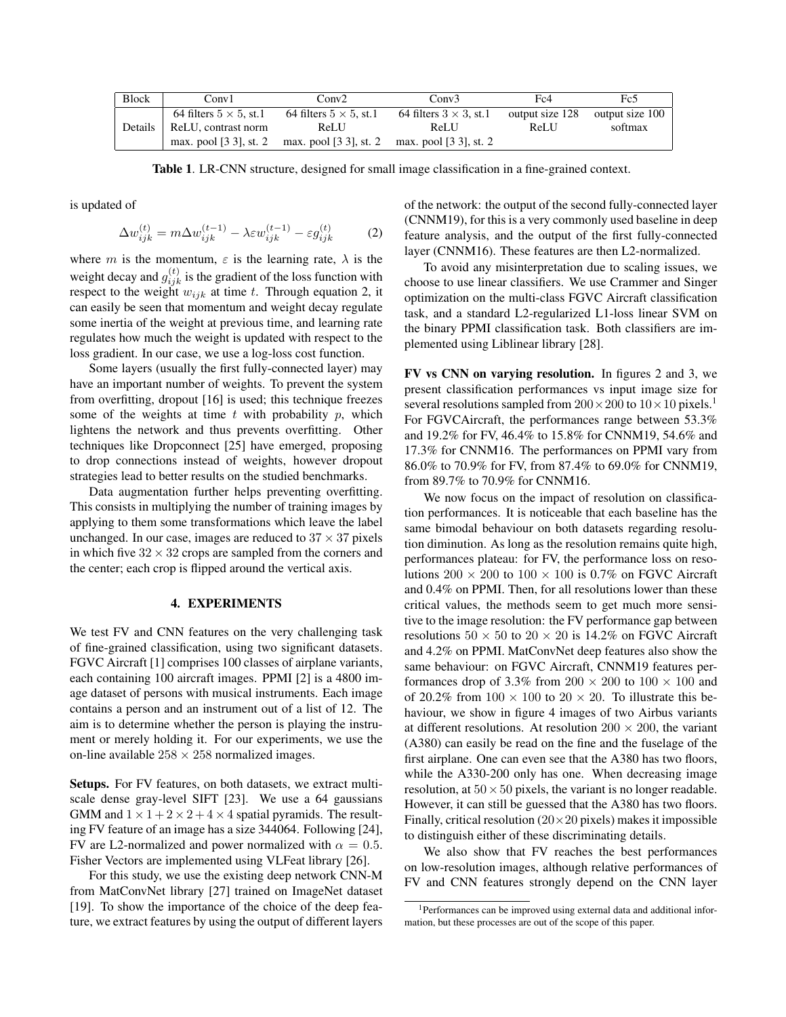| <b>Block</b> | Conv1                          | Conv2                                         | Conv3                          | Fc4             | Fc5             |
|--------------|--------------------------------|-----------------------------------------------|--------------------------------|-----------------|-----------------|
|              | 64 filters $5 \times 5$ , st.1 | 64 filters $5 \times 5$ , st.1                | 64 filters $3 \times 3$ , st.1 | output size 128 | output size 100 |
| Details      | ReLU, contrast norm            | <b>ReLU</b>                                   | <b>ReLU</b>                    | <b>ReLU</b>     | softmax         |
|              | max. pool $[3\ 3]$ , st. 2     | max. pool [3 3], st. 2 max. pool [3 3], st. 2 |                                |                 |                 |

Table 1. LR-CNN structure, designed for small image classification in a fine-grained context.

is updated of

$$
\Delta w_{ijk}^{(t)} = m \Delta w_{ijk}^{(t-1)} - \lambda \varepsilon w_{ijk}^{(t-1)} - \varepsilon g_{ijk}^{(t)} \tag{2}
$$

where m is the momentum,  $\varepsilon$  is the learning rate,  $\lambda$  is the weight decay and  $g_{ijk}^{(t)}$  is the gradient of the loss function with respect to the weight  $w_{ijk}$  at time t. Through equation 2, it can easily be seen that momentum and weight decay regulate some inertia of the weight at previous time, and learning rate regulates how much the weight is updated with respect to the loss gradient. In our case, we use a log-loss cost function.

Some layers (usually the first fully-connected layer) may have an important number of weights. To prevent the system from overfitting, dropout [16] is used; this technique freezes some of the weights at time  $t$  with probability  $p$ , which lightens the network and thus prevents overfitting. Other techniques like Dropconnect [25] have emerged, proposing to drop connections instead of weights, however dropout strategies lead to better results on the studied benchmarks.

Data augmentation further helps preventing overfitting. This consists in multiplying the number of training images by applying to them some transformations which leave the label unchanged. In our case, images are reduced to  $37 \times 37$  pixels in which five  $32 \times 32$  crops are sampled from the corners and the center; each crop is flipped around the vertical axis.

# 4. EXPERIMENTS

We test FV and CNN features on the very challenging task of fine-grained classification, using two significant datasets. FGVC Aircraft [1] comprises 100 classes of airplane variants, each containing 100 aircraft images. PPMI [2] is a 4800 image dataset of persons with musical instruments. Each image contains a person and an instrument out of a list of 12. The aim is to determine whether the person is playing the instrument or merely holding it. For our experiments, we use the on-line available  $258 \times 258$  normalized images.

Setups. For FV features, on both datasets, we extract multiscale dense gray-level SIFT [23]. We use a 64 gaussians GMM and  $1 \times 1 + 2 \times 2 + 4 \times 4$  spatial pyramids. The resulting FV feature of an image has a size 344064. Following [24], FV are L2-normalized and power normalized with  $\alpha = 0.5$ . Fisher Vectors are implemented using VLFeat library [26].

For this study, we use the existing deep network CNN-M from MatConvNet library [27] trained on ImageNet dataset [19]. To show the importance of the choice of the deep feature, we extract features by using the output of different layers

of the network: the output of the second fully-connected layer (CNNM19), for this is a very commonly used baseline in deep feature analysis, and the output of the first fully-connected layer (CNNM16). These features are then L2-normalized.

To avoid any misinterpretation due to scaling issues, we choose to use linear classifiers. We use Crammer and Singer optimization on the multi-class FGVC Aircraft classification task, and a standard L2-regularized L1-loss linear SVM on the binary PPMI classification task. Both classifiers are implemented using Liblinear library [28].

FV vs CNN on varying resolution. In figures 2 and 3, we present classification performances vs input image size for several resolutions sampled from  $200 \times 200$  to  $10 \times 10$  pixels.<sup>1</sup> For FGVCAircraft, the performances range between 53.3% and 19.2% for FV, 46.4% to 15.8% for CNNM19, 54.6% and 17.3% for CNNM16. The performances on PPMI vary from 86.0% to 70.9% for FV, from 87.4% to 69.0% for CNNM19, from 89.7% to 70.9% for CNNM16.

We now focus on the impact of resolution on classification performances. It is noticeable that each baseline has the same bimodal behaviour on both datasets regarding resolution diminution. As long as the resolution remains quite high, performances plateau: for FV, the performance loss on resolutions  $200 \times 200$  to  $100 \times 100$  is 0.7% on FGVC Aircraft and 0.4% on PPMI. Then, for all resolutions lower than these critical values, the methods seem to get much more sensitive to the image resolution: the FV performance gap between resolutions  $50 \times 50$  to  $20 \times 20$  is 14.2% on FGVC Aircraft and 4.2% on PPMI. MatConvNet deep features also show the same behaviour: on FGVC Aircraft, CNNM19 features performances drop of 3.3% from  $200 \times 200$  to  $100 \times 100$  and of 20.2% from  $100 \times 100$  to  $20 \times 20$ . To illustrate this behaviour, we show in figure 4 images of two Airbus variants at different resolutions. At resolution  $200 \times 200$ , the variant (A380) can easily be read on the fine and the fuselage of the first airplane. One can even see that the A380 has two floors, while the A330-200 only has one. When decreasing image resolution, at  $50 \times 50$  pixels, the variant is no longer readable. However, it can still be guessed that the A380 has two floors. Finally, critical resolution  $(20 \times 20)$  pixels) makes it impossible to distinguish either of these discriminating details.

We also show that FV reaches the best performances on low-resolution images, although relative performances of FV and CNN features strongly depend on the CNN layer

<sup>1</sup>Performances can be improved using external data and additional information, but these processes are out of the scope of this paper.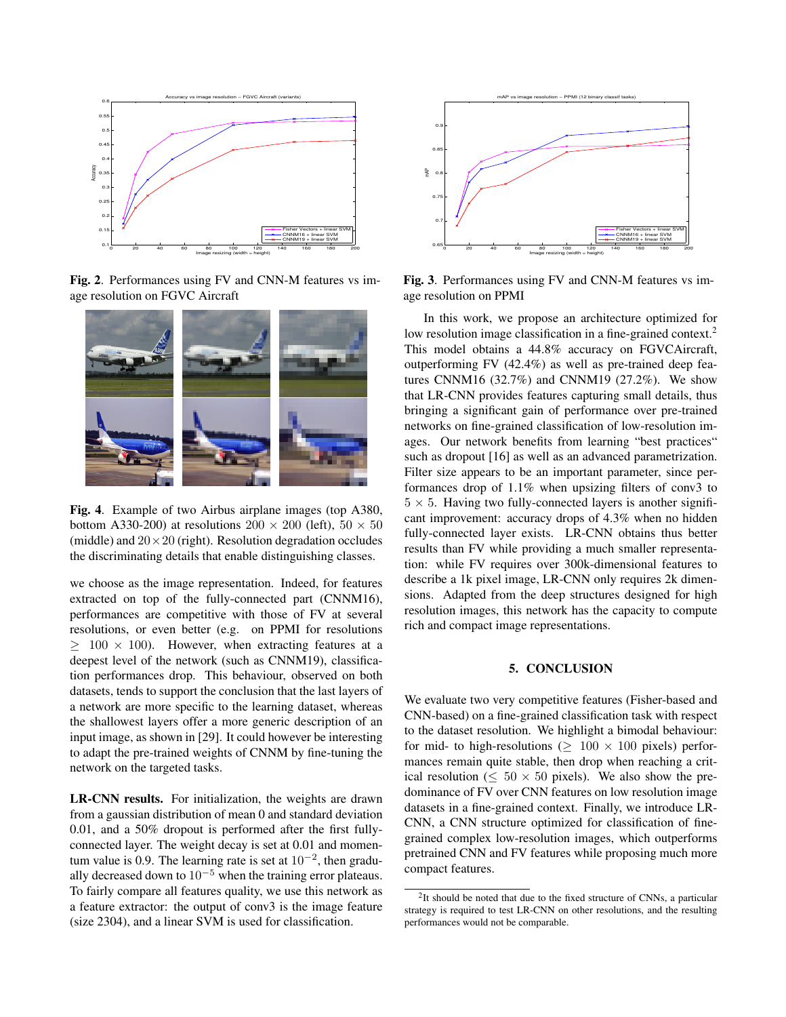

Fig. 2. Performances using FV and CNN-M features vs image resolution on FGVC Aircraft



Fig. 4. Example of two Airbus airplane images (top A380, bottom A330-200) at resolutions  $200 \times 200$  (left),  $50 \times 50$ (middle) and  $20 \times 20$  (right). Resolution degradation occludes the discriminating details that enable distinguishing classes.

we choose as the image representation. Indeed, for features extracted on top of the fully-connected part (CNNM16), performances are competitive with those of FV at several resolutions, or even better (e.g. on PPMI for resolutions  $\geq 100 \times 100$ ). However, when extracting features at a deepest level of the network (such as CNNM19), classification performances drop. This behaviour, observed on both datasets, tends to support the conclusion that the last layers of a network are more specific to the learning dataset, whereas the shallowest layers offer a more generic description of an input image, as shown in [29]. It could however be interesting to adapt the pre-trained weights of CNNM by fine-tuning the network on the targeted tasks.

LR-CNN results. For initialization, the weights are drawn from a gaussian distribution of mean 0 and standard deviation 0.01, and a 50% dropout is performed after the first fullyconnected layer. The weight decay is set at 0.01 and momentum value is 0.9. The learning rate is set at  $10^{-2}$ , then gradually decreased down to  $10^{-5}$  when the training error plateaus. To fairly compare all features quality, we use this network as a feature extractor: the output of conv3 is the image feature (size 2304), and a linear SVM is used for classification.



Fig. 3. Performances using FV and CNN-M features vs image resolution on PPMI

In this work, we propose an architecture optimized for low resolution image classification in a fine-grained context.<sup>2</sup> This model obtains a 44.8% accuracy on FGVCAircraft, outperforming FV (42.4%) as well as pre-trained deep features CNNM16 (32.7%) and CNNM19 (27.2%). We show that LR-CNN provides features capturing small details, thus bringing a significant gain of performance over pre-trained networks on fine-grained classification of low-resolution images. Our network benefits from learning "best practices" such as dropout [16] as well as an advanced parametrization. Filter size appears to be an important parameter, since performances drop of 1.1% when upsizing filters of conv3 to  $5 \times 5$ . Having two fully-connected layers is another significant improvement: accuracy drops of 4.3% when no hidden fully-connected layer exists. LR-CNN obtains thus better results than FV while providing a much smaller representation: while FV requires over 300k-dimensional features to describe a 1k pixel image, LR-CNN only requires 2k dimensions. Adapted from the deep structures designed for high resolution images, this network has the capacity to compute rich and compact image representations.

#### 5. CONCLUSION

We evaluate two very competitive features (Fisher-based and CNN-based) on a fine-grained classification task with respect to the dataset resolution. We highlight a bimodal behaviour: for mid- to high-resolutions ( $\geq 100 \times 100$  pixels) performances remain quite stable, then drop when reaching a critical resolution ( $\leq 50 \times 50$  pixels). We also show the predominance of FV over CNN features on low resolution image datasets in a fine-grained context. Finally, we introduce LR-CNN, a CNN structure optimized for classification of finegrained complex low-resolution images, which outperforms pretrained CNN and FV features while proposing much more compact features.

<sup>&</sup>lt;sup>2</sup>It should be noted that due to the fixed structure of CNNs, a particular strategy is required to test LR-CNN on other resolutions, and the resulting performances would not be comparable.